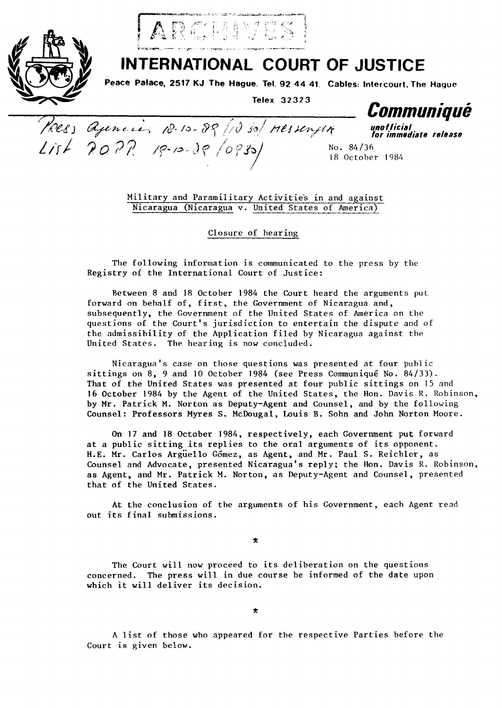



Poes agencies 10-10-89/1030/ 11essenger

 $List$  2022  $R$   $P-P-3P$  (0830)

## **INTERNATIONAL COURT OF JUSTICE**

Peace Palace, 2517 KJ The Hague. Tel. 92 44 41. Cables: Intercourt, The Hague

Telex 32323

Communique

unofficial<br>for immediate release

No. 84/36 18 October 1984

Military and Paramilitary Activities in and against Nicaragua (Nicaragua v. United States of America)

Closure of hearing

The following information is communicated to the press by the Registry of the International Court of Justice:

Between 8 and 18 October 1984 the Court heard the arguments put forward on behalf of, first, the Government of Nicaragua and, subsequently, the Government of the United States of America on the questions of the Court's jurisdiction to entertain the dispute and of the admissibility of the Application filed by Nicaragua against the United States. The hearing is now concluded.

Nicaragua's case on those questions was presented at four public sittings on 8, 9 and 10 October 1984 (see Press Communiqué No. 84/33). That of the United States was presented at four public sittings on 15 and 16 October 1984 by the Agent of the United States, the Hon. Davis R. Robinson, by Mr. Patrick M. Norton as Deputy-Agent and Counsel, and by the following Counsel: Professors Myres S. McDougal, Louis B. Sohn and John Norton Moore.

On 17 and 18 October 1984, respectively, each Government put forward at a public sitting its replies to the oral arguments of its opponent. H.E. Mr. Carlos Arguello Gómez, as Agent, and Mr. Paul S. Reichler, as Counsel and Advocate, presented Nicaragua's reply; the Hon. Davis R. Robinson, as Agent, and Mr. Patrick M. Norton, as Deputy-Agent and Counsel, presented that of the United States.

At the conclusion of the arguments of his Government, each Agent read out its final submissions.

 $\star$ 

The Court will now proceed to its deliberation on the questions concerned. The press will in due course be informed of the date upon which it will deliver its decision.

 $\star$ 

A list of those who appeared for the respective Parties before the Court is given below.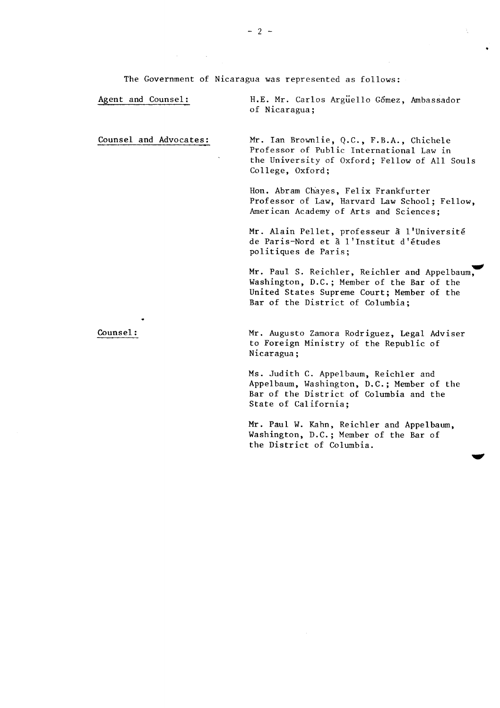The Government of Nicaragua was represented as follows:

Agent and Counsel: H.E. Mr. Carlos Argüello Gomez, Ambassador of Nicaragua;

Counsel and Advocates: Mr. Ian Brownlie, Q.C., F.B.A., Chichele Professor of Public International Law in the University of Oxford; Fellow of Al1 Souls College, Oxford;

> Hon. Abram Chàyes, Felix Frankfurter Professor of Law, Harvard Law School; Fellow, American Academy of Arts and Sciences;

Mr. Alain Pellet, professeur à l'université de Paris-Nord et à l'Institut d'études politiques de Paris;

Mr. Paul S. Reichler, Reichler and Appelbaum, Washington, D.C.; Member of the Bar of the United States Supreme Court; Member of the Bar of the District of Columbia;

Counsel : Mr. Augusto Zamora Rodriguez, Legal Adviser to Foreign Ministry of the Republic of Nicaragua ;

> Ms. Judith C. Appelbaum, Reichler and Appelbaum, Washington, D.C.; Member of the Bar of the District of Columbia and the State of Cal ifornia;

Mr. Paul W. Kahn, Reichler and Appelbaum, Washington, D.C.; Member of the Bar of the District of Columbia.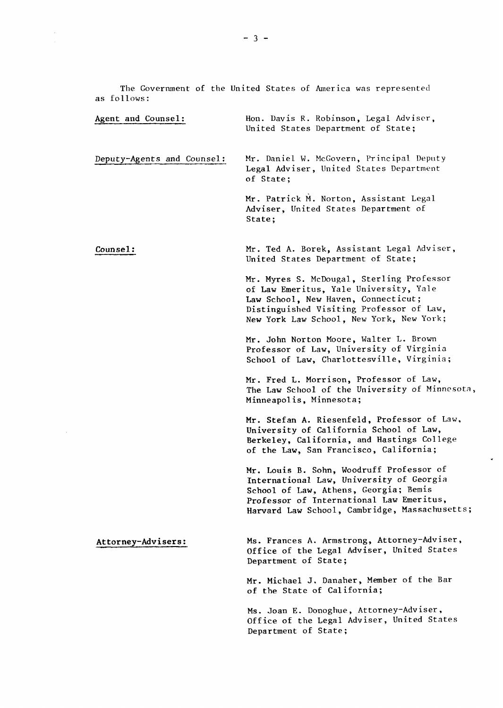The Government of the United States of America was represented as follows:

| Agent and Counsel:         | Hon. Davis R. Robinson, Legal Adviser,<br>United States Department of State;                                                                                                                                               |
|----------------------------|----------------------------------------------------------------------------------------------------------------------------------------------------------------------------------------------------------------------------|
| Deputy-Agents and Counsel: | Mr. Daniel W. McGovern, Principal Deputy<br>Legal Adviser, United States Department<br>of State;                                                                                                                           |
|                            | Mr. Patrick M. Norton, Assistant Legal<br>Adviser, United States Department of<br>State;                                                                                                                                   |
| Counsel:                   | Mr. Ted A. Borek, Assistant Legal Adviser,<br>United States Department of State;                                                                                                                                           |
|                            | Mr. Myres S. McDougal, Sterling Professor<br>of Law Emeritus, Yale University, Yale<br>Law School, New Haven, Connecticut;<br>Distinguished Visiting Professor of Law,<br>New York Law School, New York, New York;         |
|                            | Mr. John Norton Moore, Walter L. Brown<br>Professor of Law, University of Virginia<br>School of Law, Charlottesville, Virginia;                                                                                            |
|                            | Mr. Fred L. Morrison, Professor of Law,<br>The Law School of the University of Minnesota,<br>Minneapolis, Minnesota;                                                                                                       |
|                            | Mr. Stefan A. Riesenfeld, Professor of Law,<br>University of California School of Law,<br>Berkeley, California, and Hastings College<br>of the Law, San Francisco, California;                                             |
|                            | Mr. Louis B. Sohn, Woodruff Professor of<br>International Law, University of Georgia<br>School of Law, Athens, Georgia; Bemis<br>Professor of International Law Emeritus,<br>Harvard Law School, Cambridge, Massachusetts; |
| Attorney-Advisers:         | Ms. Frances A. Armstrong, Attorney-Adviser,<br>Office of the Legal Adviser, United States<br>Department of State;                                                                                                          |
|                            | Mr. Michael J. Danaher, Member of the Bar<br>of the State of California;                                                                                                                                                   |
|                            | Ms. Joan E. Donoghue, Attorney-Adviser,<br>Office of the Legal Adviser, United States<br>Department of State;                                                                                                              |

 $\bar{\star}$ 

 $\frac{1}{2}$